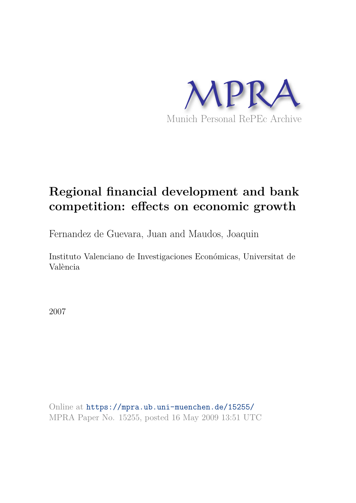

# **Regional financial development and bank competition: effects on economic growth**

Fernandez de Guevara, Juan and Maudos, Joaquin

Instituto Valenciano de Investigaciones Económicas, Universitat de València

2007

Online at https://mpra.ub.uni-muenchen.de/15255/ MPRA Paper No. 15255, posted 16 May 2009 13:51 UTC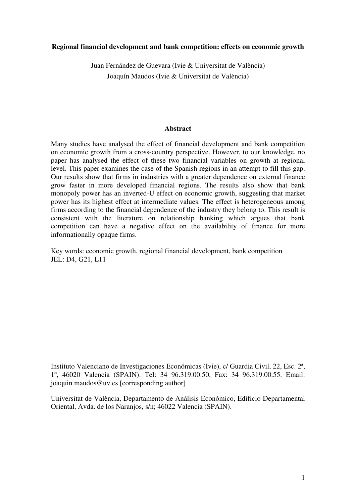# **Regional financial development and bank competition: effects on economic growth**

Juan Fernández de Guevara (Ivie & Universitat de València) Joaquín Maudos (Ivie & Universitat de València)

# **Abstract**

Many studies have analysed the effect of financial development and bank competition on economic growth from a cross-country perspective. However, to our knowledge, no paper has analysed the effect of these two financial variables on growth at regional level. This paper examines the case of the Spanish regions in an attempt to fill this gap. Our results show that firms in industries with a greater dependence on external finance grow faster in more developed financial regions. The results also show that bank monopoly power has an inverted-U effect on economic growth, suggesting that market power has its highest effect at intermediate values. The effect is heterogeneous among firms according to the financial dependence of the industry they belong to. This result is consistent with the literature on relationship banking which argues that bank competition can have a negative effect on the availability of finance for more informationally opaque firms.

Key words: economic growth, regional financial development, bank competition JEL: D4, G21, L11

Instituto Valenciano de Investigaciones Económicas (Ivie), c/ Guardia Civil, 22, Esc. 2ª, 1º, 46020 Valencia (SPAIN). Tel: 34 96.319.00.50, Fax: 34 96.319.00.55. Email: joaquin.maudos@uv.es [corresponding author]

Universitat de València, Departamento de Análisis Económico, Edificio Departamental Oriental, Avda. de los Naranjos, s/n; 46022 Valencia (SPAIN).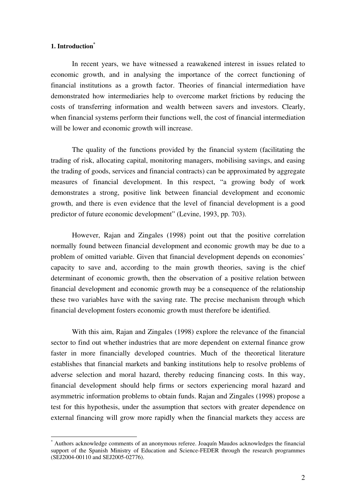# **1. Introduction\***

1

In recent years, we have witnessed a reawakened interest in issues related to economic growth, and in analysing the importance of the correct functioning of financial institutions as a growth factor. Theories of financial intermediation have demonstrated how intermediaries help to overcome market frictions by reducing the costs of transferring information and wealth between savers and investors. Clearly, when financial systems perform their functions well, the cost of financial intermediation will be lower and economic growth will increase.

The quality of the functions provided by the financial system (facilitating the trading of risk, allocating capital, monitoring managers, mobilising savings, and easing the trading of goods, services and financial contracts) can be approximated by aggregate measures of financial development. In this respect, "a growing body of work demonstrates a strong, positive link between financial development and economic growth, and there is even evidence that the level of financial development is a good predictor of future economic development" (Levine, 1993, pp. 703).

However, Rajan and Zingales (1998) point out that the positive correlation normally found between financial development and economic growth may be due to a problem of omitted variable. Given that financial development depends on economies' capacity to save and, according to the main growth theories, saving is the chief determinant of economic growth, then the observation of a positive relation between financial development and economic growth may be a consequence of the relationship these two variables have with the saving rate. The precise mechanism through which financial development fosters economic growth must therefore be identified.

With this aim, Rajan and Zingales (1998) explore the relevance of the financial sector to find out whether industries that are more dependent on external finance grow faster in more financially developed countries. Much of the theoretical literature establishes that financial markets and banking institutions help to resolve problems of adverse selection and moral hazard, thereby reducing financing costs. In this way, financial development should help firms or sectors experiencing moral hazard and asymmetric information problems to obtain funds. Rajan and Zingales (1998) propose a test for this hypothesis, under the assumption that sectors with greater dependence on external financing will grow more rapidly when the financial markets they access are

<sup>\*</sup> Authors acknowledge comments of an anonymous referee. Joaquín Maudos acknowledges the financial support of the Spanish Ministry of Education and Science-FEDER through the research programmes (SEJ2004-00110 and SEJ2005-02776).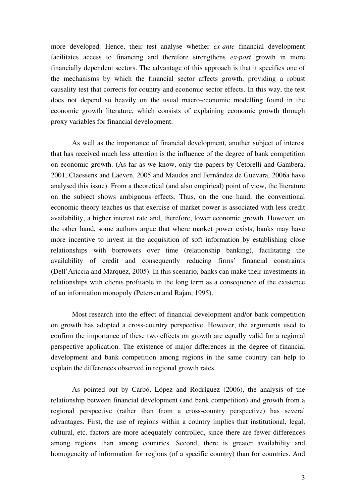more developed. Hence, their test analyse whether *ex-ante* financial development facilitates access to financing and therefore strengthens *ex-post* growth in more financially dependent sectors. The advantage of this approach is that it specifies one of the mechanisms by which the financial sector affects growth, providing a robust causality test that corrects for country and economic sector effects. In this way, the test does not depend so heavily on the usual macro-economic modelling found in the economic growth literature, which consists of explaining economic growth through proxy variables for financial development.

As well as the importance of financial development, another subject of interest that has received much less attention is the influence of the degree of bank competition on economic growth. (As far as we know, only the papers by Cetorelli and Gambera, 2001, Claessens and Laeven, 2005 and Maudos and Fernández de Guevara, 2006a have analysed this issue). From a theoretical (and also empirical) point of view, the literature on the subject shows ambiguous effects. Thus, on the one hand, the conventional economic theory teaches us that exercise of market power is associated with less credit availability, a higher interest rate and, therefore, lower economic growth. However, on the other hand, some authors argue that where market power exists, banks may have more incentive to invest in the acquisition of soft information by establishing close relationships with borrowers over time (relationship banking), facilitating the availability of credit and consequently reducing firms' financial constraints (Dell'Ariccia and Marquez, 2005). In this scenario, banks can make their investments in relationships with clients profitable in the long term as a consequence of the existence of an information monopoly (Petersen and Rajan, 1995).

Most research into the effect of financial development and/or bank competition on growth has adopted a cross-country perspective. However, the arguments used to confirm the importance of these two effects on growth are equally valid for a regional perspective application. The existence of major differences in the degree of financial development and bank competition among regions in the same country can help to explain the differences observed in regional growth rates.

As pointed out by Carbó, López and Rodríguez (2006), the analysis of the relationship between financial development (and bank competition) and growth from a regional perspective (rather than from a cross-country perspective) has several advantages. First, the use of regions within a country implies that institutional, legal, cultural, etc. factors are more adequately controlled, since there are fewer differences among regions than among countries. Second, there is greater availability and homogeneity of information for regions (of a specific country) than for countries. And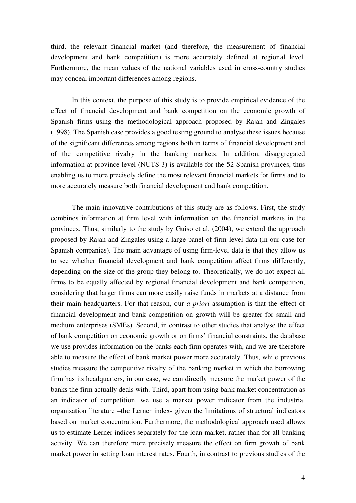third, the relevant financial market (and therefore, the measurement of financial development and bank competition) is more accurately defined at regional level. Furthermore, the mean values of the national variables used in cross-country studies may conceal important differences among regions.

In this context, the purpose of this study is to provide empirical evidence of the effect of financial development and bank competition on the economic growth of Spanish firms using the methodological approach proposed by Rajan and Zingales (1998). The Spanish case provides a good testing ground to analyse these issues because of the significant differences among regions both in terms of financial development and of the competitive rivalry in the banking markets. In addition, disaggregated information at province level (NUTS 3) is available for the 52 Spanish provinces, thus enabling us to more precisely define the most relevant financial markets for firms and to more accurately measure both financial development and bank competition.

The main innovative contributions of this study are as follows. First, the study combines information at firm level with information on the financial markets in the provinces. Thus, similarly to the study by Guiso et al. (2004), we extend the approach proposed by Rajan and Zingales using a large panel of firm-level data (in our case for Spanish companies). The main advantage of using firm-level data is that they allow us to see whether financial development and bank competition affect firms differently, depending on the size of the group they belong to. Theoretically, we do not expect all firms to be equally affected by regional financial development and bank competition, considering that larger firms can more easily raise funds in markets at a distance from their main headquarters. For that reason, our *a priori* assumption is that the effect of financial development and bank competition on growth will be greater for small and medium enterprises (SMEs). Second, in contrast to other studies that analyse the effect of bank competition on economic growth or on firms' financial constraints, the database we use provides information on the banks each firm operates with, and we are therefore able to measure the effect of bank market power more accurately. Thus, while previous studies measure the competitive rivalry of the banking market in which the borrowing firm has its headquarters, in our case, we can directly measure the market power of the banks the firm actually deals with. Third, apart from using bank market concentration as an indicator of competition, we use a market power indicator from the industrial organisation literature –the Lerner index- given the limitations of structural indicators based on market concentration. Furthermore, the methodological approach used allows us to estimate Lerner indices separately for the loan market, rather than for all banking activity. We can therefore more precisely measure the effect on firm growth of bank market power in setting loan interest rates. Fourth, in contrast to previous studies of the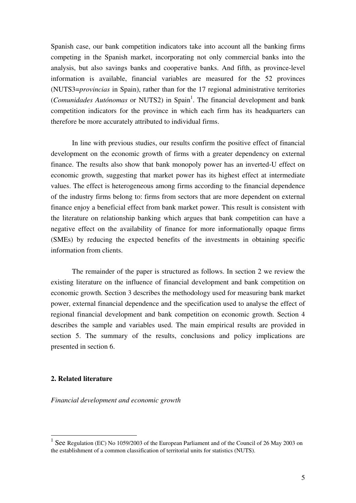Spanish case, our bank competition indicators take into account all the banking firms competing in the Spanish market, incorporating not only commercial banks into the analysis, but also savings banks and cooperative banks. And fifth, as province-level information is available, financial variables are measured for the 52 provinces (NUTS3=*provincias* in Spain), rather than for the 17 regional administrative territories (*Comunidades Autónomas* or NUTS2) in Spain<sup>1</sup>. The financial development and bank competition indicators for the province in which each firm has its headquarters can therefore be more accurately attributed to individual firms.

In line with previous studies, our results confirm the positive effect of financial development on the economic growth of firms with a greater dependency on external finance. The results also show that bank monopoly power has an inverted-U effect on economic growth, suggesting that market power has its highest effect at intermediate values. The effect is heterogeneous among firms according to the financial dependence of the industry firms belong to: firms from sectors that are more dependent on external finance enjoy a beneficial effect from bank market power. This result is consistent with the literature on relationship banking which argues that bank competition can have a negative effect on the availability of finance for more informationally opaque firms (SMEs) by reducing the expected benefits of the investments in obtaining specific information from clients.

The remainder of the paper is structured as follows. In section 2 we review the existing literature on the influence of financial development and bank competition on economic growth. Section 3 describes the methodology used for measuring bank market power, external financial dependence and the specification used to analyse the effect of regional financial development and bank competition on economic growth. Section 4 describes the sample and variables used. The main empirical results are provided in section 5. The summary of the results, conclusions and policy implications are presented in section 6.

# **2. Related literature**

1

*Financial development and economic growth* 

<sup>&</sup>lt;sup>1</sup> See Regulation (EC) No 1059/2003 of the European Parliament and of the Council of 26 May 2003 on the establishment of a common classification of territorial units for statistics (NUTS).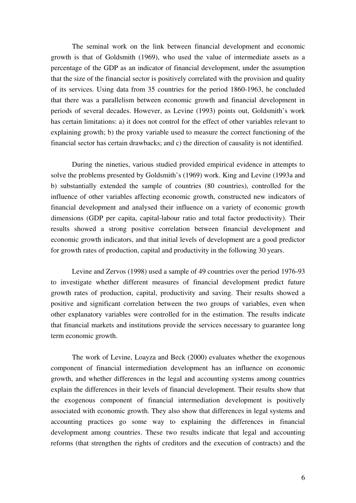The seminal work on the link between financial development and economic growth is that of Goldsmith (1969), who used the value of intermediate assets as a percentage of the GDP as an indicator of financial development, under the assumption that the size of the financial sector is positively correlated with the provision and quality of its services. Using data from 35 countries for the period 1860-1963, he concluded that there was a parallelism between economic growth and financial development in periods of several decades. However, as Levine (1993) points out, Goldsmith's work has certain limitations: a) it does not control for the effect of other variables relevant to explaining growth; b) the proxy variable used to measure the correct functioning of the financial sector has certain drawbacks; and c) the direction of causality is not identified.

During the nineties, various studied provided empirical evidence in attempts to solve the problems presented by Goldsmith's (1969) work. King and Levine (1993a and b) substantially extended the sample of countries (80 countries), controlled for the influence of other variables affecting economic growth, constructed new indicators of financial development and analysed their influence on a variety of economic growth dimensions (GDP per capita, capital-labour ratio and total factor productivity). Their results showed a strong positive correlation between financial development and economic growth indicators, and that initial levels of development are a good predictor for growth rates of production, capital and productivity in the following 30 years.

Levine and Zervos (1998) used a sample of 49 countries over the period 1976-93 to investigate whether different measures of financial development predict future growth rates of production, capital, productivity and saving. Their results showed a positive and significant correlation between the two groups of variables, even when other explanatory variables were controlled for in the estimation. The results indicate that financial markets and institutions provide the services necessary to guarantee long term economic growth.

The work of Levine, Loayza and Beck (2000) evaluates whether the exogenous component of financial intermediation development has an influence on economic growth, and whether differences in the legal and accounting systems among countries explain the differences in their levels of financial development. Their results show that the exogenous component of financial intermediation development is positively associated with economic growth. They also show that differences in legal systems and accounting practices go some way to explaining the differences in financial development among countries. These two results indicate that legal and accounting reforms (that strengthen the rights of creditors and the execution of contracts) and the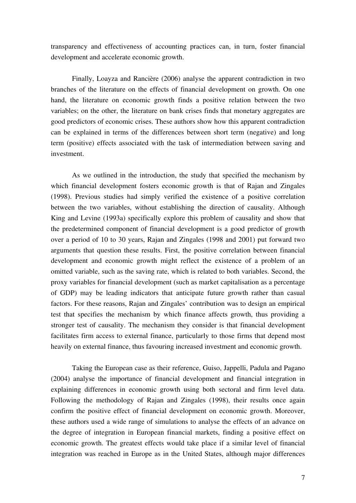transparency and effectiveness of accounting practices can, in turn, foster financial development and accelerate economic growth.

Finally, Loayza and Rancière (2006) analyse the apparent contradiction in two branches of the literature on the effects of financial development on growth. On one hand, the literature on economic growth finds a positive relation between the two variables; on the other, the literature on bank crises finds that monetary aggregates are good predictors of economic crises. These authors show how this apparent contradiction can be explained in terms of the differences between short term (negative) and long term (positive) effects associated with the task of intermediation between saving and investment.

As we outlined in the introduction, the study that specified the mechanism by which financial development fosters economic growth is that of Rajan and Zingales (1998). Previous studies had simply verified the existence of a positive correlation between the two variables, without establishing the direction of causality. Although King and Levine (1993a) specifically explore this problem of causality and show that the predetermined component of financial development is a good predictor of growth over a period of 10 to 30 years, Rajan and Zingales (1998 and 2001) put forward two arguments that question these results. First, the positive correlation between financial development and economic growth might reflect the existence of a problem of an omitted variable, such as the saving rate, which is related to both variables. Second, the proxy variables for financial development (such as market capitalisation as a percentage of GDP) may be leading indicators that anticipate future growth rather than casual factors. For these reasons, Rajan and Zingales' contribution was to design an empirical test that specifies the mechanism by which finance affects growth, thus providing a stronger test of causality. The mechanism they consider is that financial development facilitates firm access to external finance, particularly to those firms that depend most heavily on external finance, thus favouring increased investment and economic growth.

Taking the European case as their reference, Guiso, Jappelli, Padula and Pagano (2004) analyse the importance of financial development and financial integration in explaining differences in economic growth using both sectoral and firm level data. Following the methodology of Rajan and Zingales (1998), their results once again confirm the positive effect of financial development on economic growth. Moreover, these authors used a wide range of simulations to analyse the effects of an advance on the degree of integration in European financial markets, finding a positive effect on economic growth. The greatest effects would take place if a similar level of financial integration was reached in Europe as in the United States, although major differences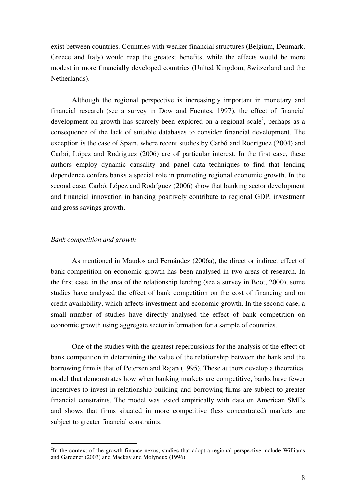exist between countries. Countries with weaker financial structures (Belgium, Denmark, Greece and Italy) would reap the greatest benefits, while the effects would be more modest in more financially developed countries (United Kingdom, Switzerland and the Netherlands).

 Although the regional perspective is increasingly important in monetary and financial research (see a survey in Dow and Fuentes, 1997), the effect of financial development on growth has scarcely been explored on a regional scale<sup>2</sup>, perhaps as a consequence of the lack of suitable databases to consider financial development. The exception is the case of Spain, where recent studies by Carbó and Rodríguez (2004) and Carbó, López and Rodríguez (2006) are of particular interest. In the first case, these authors employ dynamic causality and panel data techniques to find that lending dependence confers banks a special role in promoting regional economic growth. In the second case, Carbó, López and Rodríguez (2006) show that banking sector development and financial innovation in banking positively contribute to regional GDP, investment and gross savings growth.

#### *Bank competition and growth*

1

As mentioned in Maudos and Fernández (2006a), the direct or indirect effect of bank competition on economic growth has been analysed in two areas of research. In the first case, in the area of the relationship lending (see a survey in Boot, 2000), some studies have analysed the effect of bank competition on the cost of financing and on credit availability, which affects investment and economic growth. In the second case, a small number of studies have directly analysed the effect of bank competition on economic growth using aggregate sector information for a sample of countries.

One of the studies with the greatest repercussions for the analysis of the effect of bank competition in determining the value of the relationship between the bank and the borrowing firm is that of Petersen and Rajan (1995). These authors develop a theoretical model that demonstrates how when banking markets are competitive, banks have fewer incentives to invest in relationship building and borrowing firms are subject to greater financial constraints. The model was tested empirically with data on American SMEs and shows that firms situated in more competitive (less concentrated) markets are subject to greater financial constraints.

 $2$ In the context of the growth-finance nexus, studies that adopt a regional perspective include Williams and Gardener (2003) and Mackay and Molyneux (1996).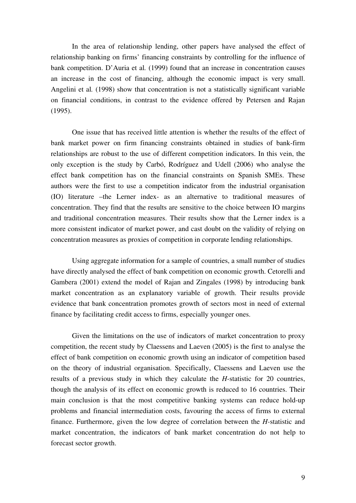In the area of relationship lending, other papers have analysed the effect of relationship banking on firms' financing constraints by controlling for the influence of bank competition. D'Auria et al*.* (1999) found that an increase in concentration causes an increase in the cost of financing, although the economic impact is very small. Angelini et al*.* (1998) show that concentration is not a statistically significant variable on financial conditions, in contrast to the evidence offered by Petersen and Rajan (1995).

One issue that has received little attention is whether the results of the effect of bank market power on firm financing constraints obtained in studies of bank-firm relationships are robust to the use of different competition indicators. In this vein, the only exception is the study by Carbó, Rodríguez and Udell (2006) who analyse the effect bank competition has on the financial constraints on Spanish SMEs. These authors were the first to use a competition indicator from the industrial organisation (IO) literature –the Lerner index- as an alternative to traditional measures of concentration. They find that the results are sensitive to the choice between IO margins and traditional concentration measures. Their results show that the Lerner index is a more consistent indicator of market power, and cast doubt on the validity of relying on concentration measures as proxies of competition in corporate lending relationships.

Using aggregate information for a sample of countries, a small number of studies have directly analysed the effect of bank competition on economic growth. Cetorelli and Gambera (2001) extend the model of Rajan and Zingales (1998) by introducing bank market concentration as an explanatory variable of growth. Their results provide evidence that bank concentration promotes growth of sectors most in need of external finance by facilitating credit access to firms, especially younger ones.

 Given the limitations on the use of indicators of market concentration to proxy competition, the recent study by Claessens and Laeven (2005) is the first to analyse the effect of bank competition on economic growth using an indicator of competition based on the theory of industrial organisation. Specifically, Claessens and Laeven use the results of a previous study in which they calculate the *H*-statistic for 20 countries, though the analysis of its effect on economic growth is reduced to 16 countries. Their main conclusion is that the most competitive banking systems can reduce hold-up problems and financial intermediation costs, favouring the access of firms to external finance. Furthermore, given the low degree of correlation between the *H-*statistic and market concentration, the indicators of bank market concentration do not help to forecast sector growth.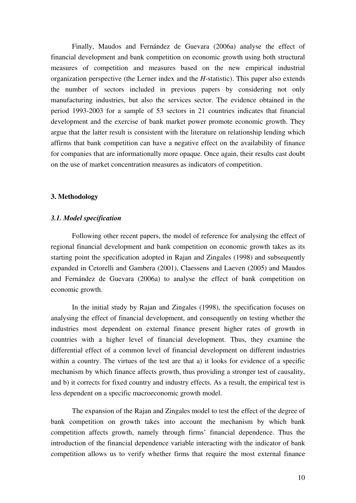Finally, Maudos and Fernández de Guevara (2006a) analyse the effect of financial development and bank competition on economic growth using both structural measures of competition and measures based on the new empirical industrial organization perspective (the Lerner index and the *H*-statistic). This paper also extends the number of sectors included in previous papers by considering not only manufacturing industries, but also the services sector. The evidence obtained in the period 1993-2003 for a sample of 53 sectors in 21 countries indicates that financial development and the exercise of bank market power promote economic growth. They argue that the latter result is consistent with the literature on relationship lending which affirms that bank competition can have a negative effect on the availability of finance for companies that are informationally more opaque. Once again, their results cast doubt on the use of market concentration measures as indicators of competition.

# **3. Methodology**

#### *3.1. Model specification*

 Following other recent papers, the model of reference for analysing the effect of regional financial development and bank competition on economic growth takes as its starting point the specification adopted in Rajan and Zingales (1998) and subsequently expanded in Cetorelli and Gambera (2001), Claessens and Laeven (2005) and Maudos and Fernández de Guevara (2006a) to analyse the effect of bank competition on economic growth.

In the initial study by Rajan and Zingales (1998), the specification focuses on analysing the effect of financial development, and consequently on testing whether the industries most dependent on external finance present higher rates of growth in countries with a higher level of financial development. Thus, they examine the differential effect of a common level of financial development on different industries within a country. The virtues of the test are that a) it looks for evidence of a specific mechanism by which finance affects growth, thus providing a stronger test of causality, and b) it corrects for fixed country and industry effects. As a result, the empirical test is less dependent on a specific macroeconomic growth model.

 The expansion of the Rajan and Zingales model to test the effect of the degree of bank competition on growth takes into account the mechanism by which bank competition affects growth, namely through firms' financial dependence. Thus the introduction of the financial dependence variable interacting with the indicator of bank competition allows us to verify whether firms that require the most external finance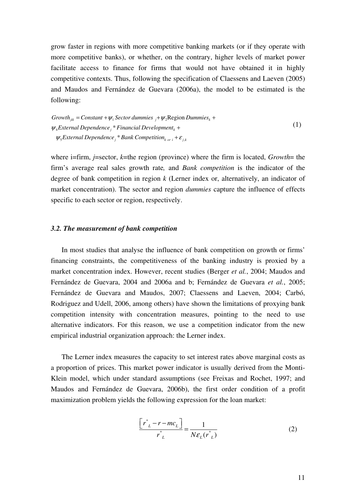grow faster in regions with more competitive banking markets (or if they operate with more competitive banks), or whether, on the contrary, higher levels of market power facilitate access to finance for firms that would not have obtained it in highly competitive contexts. Thus, following the specification of Claessens and Laeven (2005) and Maudos and Fernández de Guevara (2006a), the model to be estimated is the following:

 $Growth_{ijk} = Constant + \psi_1$  Sector dummies  $_j + \psi_2$ Region Dummies<sub>k</sub> +  $\psi_4$ *External Dependence*  $\psi_5$ <sup>\*</sup> Financial Development<sub>k</sub> +  $\psi_5$ *External Dependence*<sup> $*$ </sup> *Bank Competition*<sub>*k*</sub><sub>*or*</sub><sup> $*$ </sup> +  $\varepsilon$ <sub>*j*,*k*</sub> (1)

where i=firm, *j*=sector, *k*=the region (province) where the firm is located, *Growth*= the firm's average real sales growth rate*,* and *Bank competition* is the indicator of the degree of bank competition in region *k* (Lerner index or, alternatively, an indicator of market concentration). The sector and region *dummies* capture the influence of effects specific to each sector or region, respectively.

## *3.2. The measurement of bank competition*

In most studies that analyse the influence of bank competition on growth or firms' financing constraints, the competitiveness of the banking industry is proxied by a market concentration index. However, recent studies (Berger *et al.*, 2004; Maudos and Fernández de Guevara, 2004 and 2006a and b; Fernández de Guevara *et al.*, 2005; Fernández de Guevara and Maudos, 2007; Claessens and Laeven, 2004; Carbó, Rodriguez and Udell, 2006, among others) have shown the limitations of proxying bank competition intensity with concentration measures, pointing to the need to use alternative indicators. For this reason, we use a competition indicator from the new empirical industrial organization approach: the Lerner index.

The Lerner index measures the capacity to set interest rates above marginal costs as a proportion of prices. This market power indicator is usually derived from the Monti-Klein model, which under standard assumptions (see Freixas and Rochet, 1997; and Maudos and Fernández de Guevara, 2006b), the first order condition of a profit maximization problem yields the following expression for the loan market:

$$
\left[\frac{r_{\scriptscriptstyle L}^{*} - r - mc_{\scriptscriptstyle L}}{r_{\scriptscriptstyle L}^{*}}\right] = \frac{1}{N\varepsilon_{\scriptscriptstyle L}(r_{\scriptscriptstyle L}^{*})}
$$
(2)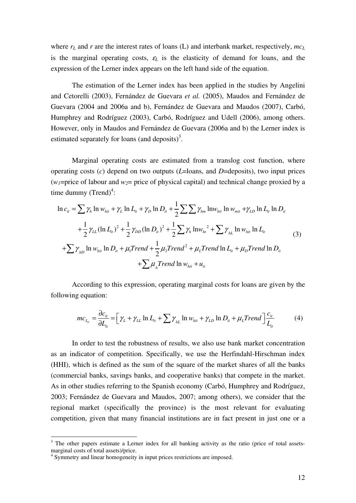where  $r_L$  and  $r$  are the interest rates of loans (L) and interbank market, respectively,  $mc_L$ is the marginal operating costs,  $\varepsilon_L$  is the elasticity of demand for loans, and the expression of the Lerner index appears on the left hand side of the equation.

The estimation of the Lerner index has been applied in the studies by Angelini and Cetorelli (2003), Fernández de Guevara *et al.* (2005), Maudos and Fernández de Guevara (2004 and 2006a and b), Fernández de Guevara and Maudos (2007), Carbó, Humphrey and Rodríguez (2003), Carbó, Rodríguez and Udell (2006), among others. However, only in Maudos and Fernández de Guevara (2006a and b) the Lerner index is estimated separately for loans (and deposits)<sup>3</sup>.

Marginal operating costs are estimated from a translog cost function, where operating costs (*c*) depend on two outputs (*L*=loans, and *D*=deposits), two input prices  $(w_1)$ =price of labour and  $w_2$ = price of physical capital) and technical change proxied by a time dummy  $(Trend)^4$ :

$$
\ln c_{it} = \sum \gamma_h \ln w_{hit} + \gamma_L \ln L_{it} + \gamma_D \ln D_{it} + \frac{1}{2} \sum \sum \gamma_{hm} \ln w_{hit} \ln w_{mit} + \gamma_{LD} \ln L_{it} \ln D_{it}
$$
  
+  $\frac{1}{2} \gamma_{LL} (\ln L_{it})^2 + \frac{1}{2} \gamma_{DD} (\ln D_{it})^2 + \frac{1}{2} \sum \gamma_h \ln w_{ht}^2 + \sum \gamma_{hL} \ln w_{hit} \ln L_{it}$   
+  $\sum \gamma_{hD} \ln w_{hit} \ln D_{it} + \mu_1 Trend + \frac{1}{2} \mu_2 Trend^2 + \mu_L Trend \ln L_{it} + \mu_D Trend \ln D_{it}$   
+  $\sum \mu_h Trend \ln w_{hit} + u_{it}$  (3)

According to this expression, operating marginal costs for loans are given by the following equation:

$$
mc_{L_{u}} = \frac{\partial c_{u}}{\partial L_{u}} = \left[ \gamma_{L} + \gamma_{LL} \ln L_{it} + \sum \gamma_{hL} \ln w_{hit} + \gamma_{LD} \ln D_{it} + \mu_{L} Trend \right] \frac{c_{it}}{L_{it}} \tag{4}
$$

In order to test the robustness of results, we also use bank market concentration as an indicator of competition. Specifically, we use the Herfindahl-Hirschman index (HHI), which is defined as the sum of the square of the market shares of all the banks (commercial banks, savings banks, and cooperative banks) that compete in the market. As in other studies referring to the Spanish economy (Carbó, Humphrey and Rodríguez, 2003; Fernández de Guevara and Maudos, 2007; among others), we consider that the regional market (specifically the province) is the most relevant for evaluating competition, given that many financial institutions are in fact present in just one or a

1

<sup>&</sup>lt;sup>3</sup> The other papers estimate a Lerner index for all banking activity as the ratio (price of total assetsmarginal costs of total assets)/price.

<sup>&</sup>lt;sup>4</sup> Symmetry and linear homogeneity in input prices restrictions are imposed.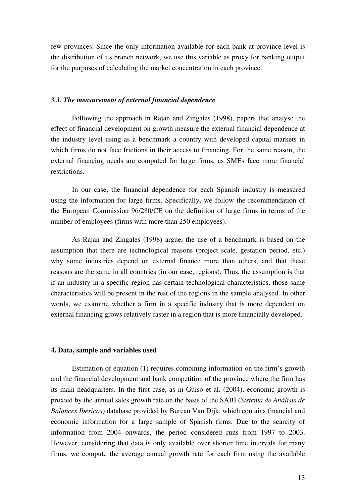few provinces. Since the only information available for each bank at province level is the distribution of its branch network, we use this variable as proxy for banking output for the purposes of calculating the market concentration in each province.

#### *3.3. The measurement of external financial dependence*

 Following the approach in Rajan and Zingales (1998), papers that analyse the effect of financial development on growth measure the external financial dependence at the industry level using as a benchmark a country with developed capital markets in which firms do not face frictions in their access to financing. For the same reason, the external financing needs are computed for large firms, as SMEs face more financial restrictions.

In our case, the financial dependence for each Spanish industry is measured using the information for large firms. Specifically, we follow the recommendation of the European Commission 96/280/CE on the definition of large firms in terms of the number of employees (firms with more than 250 employees).

As Rajan and Zingales (1998) argue, the use of a benchmark is based on the assumption that there are technological reasons (project scale, gestation period, etc.) why some industries depend on external finance more than others, and that these reasons are the same in all countries (in our case, regions). Thus, the assumption is that if an industry in a specific region has certain technological characteristics, those same characteristics will be present in the rest of the regions in the sample analysed. In other words, we examine whether a firm in a specific industry that is more dependent on external financing grows relatively faster in a region that is more financially developed.

# **4. Data, sample and variables used**

Estimation of equation (1) requires combining information on the firm's growth and the financial development and bank competition of the province where the firm has its main headquarters. In the first case, as in Guiso et al. (2004), economic growth is proxied by the annual sales growth rate on the basis of the SABI (*Sistema de Análisis de Balances Ibéricos*) database provided by Bureau Van Dijk, which contains financial and economic information for a large sample of Spanish firms. Due to the scarcity of information from 2004 onwards, the period considered runs from 1997 to 2003. However, considering that data is only available over shorter time intervals for many firms, we compute the average annual growth rate for each firm using the available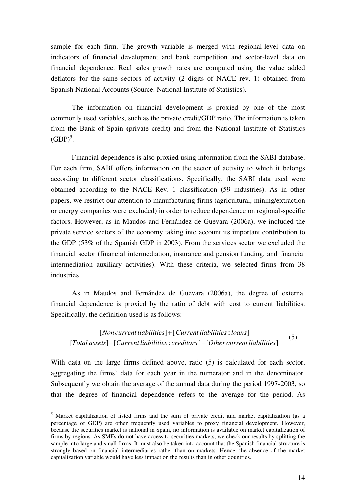sample for each firm. The growth variable is merged with regional-level data on indicators of financial development and bank competition and sector-level data on financial dependence. Real sales growth rates are computed using the value added deflators for the same sectors of activity (2 digits of NACE rev. 1) obtained from Spanish National Accounts (Source: National Institute of Statistics).

The information on financial development is proxied by one of the most commonly used variables, such as the private credit/GDP ratio. The information is taken from the Bank of Spain (private credit) and from the National Institute of Statistics  $(GDP)^5$ .

Financial dependence is also proxied using information from the SABI database. For each firm, SABI offers information on the sector of activity to which it belongs according to different sector classifications. Specifically, the SABI data used were obtained according to the NACE Rev. 1 classification (59 industries). As in other papers, we restrict our attention to manufacturing firms (agricultural, mining/extraction or energy companies were excluded) in order to reduce dependence on regional-specific factors. However, as in Maudos and Fernández de Guevara (2006a), we included the private service sectors of the economy taking into account its important contribution to the GDP (53% of the Spanish GDP in 2003). From the services sector we excluded the financial sector (financial intermediation, insurance and pension funding, and financial intermediation auxiliary activities). With these criteria, we selected firms from 38 industries.

As in Maudos and Fernández de Guevara (2006a), the degree of external financial dependence is proxied by the ratio of debt with cost to current liabilities. Specifically, the definition used is as follows:

[Non current liabilities] + [Current liabilities : loans] [Total assets] - [Current liabilities : creditors] - [Other current liabilities] (5)

With data on the large firms defined above, ratio (5) is calculated for each sector, aggregating the firms' data for each year in the numerator and in the denominator. Subsequently we obtain the average of the annual data during the period 1997-2003, so that the degree of financial dependence refers to the average for the period. As

1

<sup>&</sup>lt;sup>5</sup> Market capitalization of listed firms and the sum of private credit and market capitalization (as a percentage of GDP) are other frequently used variables to proxy financial development. However, because the securities market is national in Spain, no information is available on market capitalization of firms by regions. As SMEs do not have access to securities markets, we check our results by splitting the sample into large and small firms. It must also be taken into account that the Spanish financial structure is strongly based on financial intermediaries rather than on markets. Hence, the absence of the market capitalization variable would have less impact on the results than in other countries.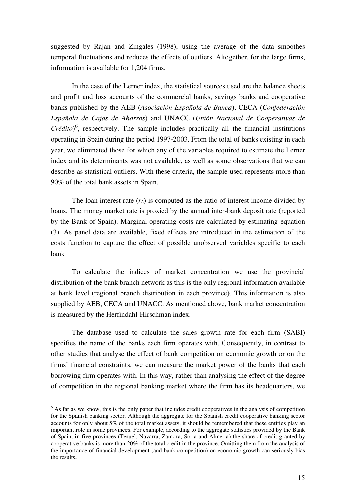suggested by Rajan and Zingales (1998), using the average of the data smoothes temporal fluctuations and reduces the effects of outliers. Altogether, for the large firms, information is available for 1,204 firms.

In the case of the Lerner index, the statistical sources used are the balance sheets and profit and loss accounts of the commercial banks, savings banks and cooperative banks published by the AEB (*Asociación Española de Banca*), CECA (*Confederación Española de Cajas de Ahorros*) and UNACC (*Unión Nacional de Cooperativas de Crédito*) 6 , respectively. The sample includes practically all the financial institutions operating in Spain during the period 1997-2003. From the total of banks existing in each year, we eliminated those for which any of the variables required to estimate the Lerner index and its determinants was not available, as well as some observations that we can describe as statistical outliers. With these criteria, the sample used represents more than 90% of the total bank assets in Spain.

The loan interest rate  $(r<sub>L</sub>)$  is computed as the ratio of interest income divided by loans. The money market rate is proxied by the annual inter-bank deposit rate (reported by the Bank of Spain). Marginal operating costs are calculated by estimating equation (3). As panel data are available, fixed effects are introduced in the estimation of the costs function to capture the effect of possible unobserved variables specific to each bank

To calculate the indices of market concentration we use the provincial distribution of the bank branch network as this is the only regional information available at bank level (regional branch distribution in each province). This information is also supplied by AEB, CECA and UNACC. As mentioned above, bank market concentration is measured by the Herfindahl-Hirschman index.

The database used to calculate the sales growth rate for each firm (SABI) specifies the name of the banks each firm operates with. Consequently, in contrast to other studies that analyse the effect of bank competition on economic growth or on the firms' financial constraints, we can measure the market power of the banks that each borrowing firm operates with. In this way, rather than analysing the effect of the degree of competition in the regional banking market where the firm has its headquarters, we

1

<sup>&</sup>lt;sup>6</sup> As far as we know, this is the only paper that includes credit cooperatives in the analysis of competition for the Spanish banking sector. Although the aggregate for the Spanish credit cooperative banking sector accounts for only about 5% of the total market assets, it should be remembered that these entities play an important role in some provinces. For example, according to the aggregate statistics provided by the Bank of Spain, in five provinces (Teruel, Navarra, Zamora, Soria and Almeria) the share of credit granted by cooperative banks is more than 20% of the total credit in the province. Omitting them from the analysis of the importance of financial development (and bank competition) on economic growth can seriously bias the results.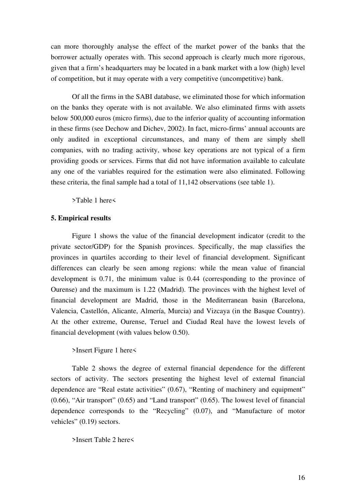can more thoroughly analyse the effect of the market power of the banks that the borrower actually operates with. This second approach is clearly much more rigorous, given that a firm's headquarters may be located in a bank market with a low (high) level of competition, but it may operate with a very competitive (uncompetitive) bank.

Of all the firms in the SABI database, we eliminated those for which information on the banks they operate with is not available. We also eliminated firms with assets below 500,000 euros (micro firms), due to the inferior quality of accounting information in these firms (see Dechow and Dichev, 2002). In fact, micro-firms' annual accounts are only audited in exceptional circumstances, and many of them are simply shell companies, with no trading activity, whose key operations are not typical of a firm providing goods or services. Firms that did not have information available to calculate any one of the variables required for the estimation were also eliminated. Following these criteria, the final sample had a total of 11,142 observations (see table 1).

>Table 1 here<

#### **5. Empirical results**

Figure 1 shows the value of the financial development indicator (credit to the private sector/GDP) for the Spanish provinces. Specifically, the map classifies the provinces in quartiles according to their level of financial development. Significant differences can clearly be seen among regions: while the mean value of financial development is 0.71, the minimum value is 0.44 (corresponding to the province of Ourense) and the maximum is 1.22 (Madrid). The provinces with the highest level of financial development are Madrid, those in the Mediterranean basin (Barcelona, Valencia, Castellón, Alicante, Almería, Murcia) and Vizcaya (in the Basque Country). At the other extreme, Ourense, Teruel and Ciudad Real have the lowest levels of financial development (with values below 0.50).

# >Insert Figure 1 here<

Table 2 shows the degree of external financial dependence for the different sectors of activity. The sectors presenting the highest level of external financial dependence are "Real estate activities" (0.67), "Renting of machinery and equipment" (0.66), "Air transport" (0.65) and "Land transport" (0.65). The lowest level of financial dependence corresponds to the "Recycling" (0.07), and "Manufacture of motor vehicles" (0.19) sectors.

>Insert Table 2 here<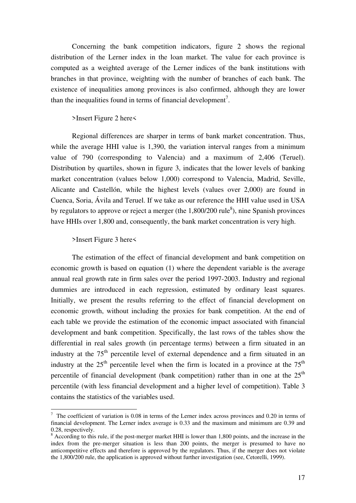Concerning the bank competition indicators, figure 2 shows the regional distribution of the Lerner index in the loan market. The value for each province is computed as a weighted average of the Lerner indices of the bank institutions with branches in that province, weighting with the number of branches of each bank. The existence of inequalities among provinces is also confirmed, although they are lower than the inequalities found in terms of financial development<sup>7</sup>.

#### >Insert Figure 2 here<

 Regional differences are sharper in terms of bank market concentration. Thus, while the average HHI value is 1,390, the variation interval ranges from a minimum value of 790 (corresponding to Valencia) and a maximum of 2,406 (Teruel). Distribution by quartiles, shown in figure 3, indicates that the lower levels of banking market concentration (values below 1,000) correspond to Valencia, Madrid, Seville, Alicante and Castellón, while the highest levels (values over 2,000) are found in Cuenca, Soria, Ávila and Teruel. If we take as our reference the HHI value used in USA by regulators to approve or reject a merger (the  $1,800/200$  rule<sup>8</sup>), nine Spanish provinces have HHIs over 1,800 and, consequently, the bank market concentration is very high.

#### >Insert Figure 3 here<

1

The estimation of the effect of financial development and bank competition on economic growth is based on equation (1) where the dependent variable is the average annual real growth rate in firm sales over the period 1997-2003. Industry and regional dummies are introduced in each regression, estimated by ordinary least squares. Initially, we present the results referring to the effect of financial development on economic growth, without including the proxies for bank competition. At the end of each table we provide the estimation of the economic impact associated with financial development and bank competition. Specifically, the last rows of the tables show the differential in real sales growth (in percentage terms) between a firm situated in an industry at the  $75<sup>th</sup>$  percentile level of external dependence and a firm situated in an industry at the  $25<sup>th</sup>$  percentile level when the firm is located in a province at the  $75<sup>th</sup>$ percentile of financial development (bank competition) rather than in one at the  $25<sup>th</sup>$ percentile (with less financial development and a higher level of competition). Table 3 contains the statistics of the variables used.

 $7$  The coefficient of variation is 0.08 in terms of the Lerner index across provinces and 0.20 in terms of financial development. The Lerner index average is 0.33 and the maximum and minimum are 0.39 and 0.28, respectively.

<sup>&</sup>lt;sup>8</sup> According to this rule, if the post-merger market HHI is lower than 1,800 points, and the increase in the index from the pre-merger situation is less than 200 points, the merger is presumed to have no anticompetitive effects and therefore is approved by the regulators. Thus, if the merger does not violate the 1,800/200 rule, the application is approved without further investigation (see, Cetorelli, 1999).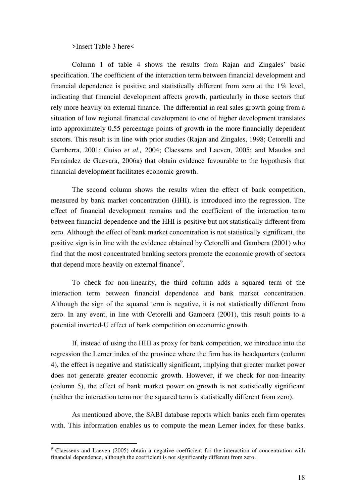>Insert Table 3 here<

Column 1 of table 4 shows the results from Rajan and Zingales' basic specification. The coefficient of the interaction term between financial development and financial dependence is positive and statistically different from zero at the 1% level, indicating that financial development affects growth, particularly in those sectors that rely more heavily on external finance. The differential in real sales growth going from a situation of low regional financial development to one of higher development translates into approximately 0.55 percentage points of growth in the more financially dependent sectors. This result is in line with prior studies (Rajan and Zingales, 1998; Cetorelli and Gamberra, 2001; Guiso *et al.,* 2004; Claessens and Laeven, 2005; and Maudos and Fernández de Guevara, 2006a) that obtain evidence favourable to the hypothesis that financial development facilitates economic growth.

 The second column shows the results when the effect of bank competition, measured by bank market concentration (HHI), is introduced into the regression. The effect of financial development remains and the coefficient of the interaction term between financial dependence and the HHI is positive but not statistically different from zero. Although the effect of bank market concentration is not statistically significant, the positive sign is in line with the evidence obtained by Cetorelli and Gambera (2001) who find that the most concentrated banking sectors promote the economic growth of sectors that depend more heavily on external finance $9$ .

 To check for non-linearity, the third column adds a squared term of the interaction term between financial dependence and bank market concentration. Although the sign of the squared term is negative, it is not statistically different from zero. In any event, in line with Cetorelli and Gambera (2001), this result points to a potential inverted-U effect of bank competition on economic growth.

 If, instead of using the HHI as proxy for bank competition, we introduce into the regression the Lerner index of the province where the firm has its headquarters (column 4), the effect is negative and statistically significant, implying that greater market power does not generate greater economic growth. However, if we check for non-linearity (column 5), the effect of bank market power on growth is not statistically significant (neither the interaction term nor the squared term is statistically different from zero).

 As mentioned above, the SABI database reports which banks each firm operates with. This information enables us to compute the mean Lerner index for these banks.

1

<sup>&</sup>lt;sup>9</sup> Claessens and Laeven (2005) obtain a negative coefficient for the interaction of concentration with financial dependence, although the coefficient is not significantly different from zero.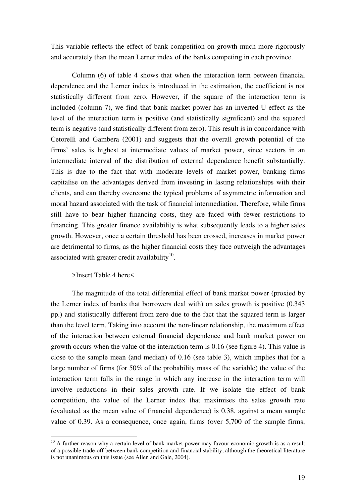This variable reflects the effect of bank competition on growth much more rigorously and accurately than the mean Lerner index of the banks competing in each province.

 Column (6) of table 4 shows that when the interaction term between financial dependence and the Lerner index is introduced in the estimation, the coefficient is not statistically different from zero. However, if the square of the interaction term is included (column 7), we find that bank market power has an inverted-U effect as the level of the interaction term is positive (and statistically significant) and the squared term is negative (and statistically different from zero). This result is in concordance with Cetorelli and Gambera (2001) and suggests that the overall growth potential of the firms' sales is highest at intermediate values of market power, since sectors in an intermediate interval of the distribution of external dependence benefit substantially. This is due to the fact that with moderate levels of market power, banking firms capitalise on the advantages derived from investing in lasting relationships with their clients, and can thereby overcome the typical problems of asymmetric information and moral hazard associated with the task of financial intermediation. Therefore, while firms still have to bear higher financing costs, they are faced with fewer restrictions to financing. This greater finance availability is what subsequently leads to a higher sales growth. However, once a certain threshold has been crossed, increases in market power are detrimental to firms, as the higher financial costs they face outweigh the advantages associated with greater credit availability $10$ .

### >Insert Table 4 here<

1

The magnitude of the total differential effect of bank market power (proxied by the Lerner index of banks that borrowers deal with) on sales growth is positive (0.343 pp.) and statistically different from zero due to the fact that the squared term is larger than the level term. Taking into account the non-linear relationship, the maximum effect of the interaction between external financial dependence and bank market power on growth occurs when the value of the interaction term is 0.16 (see figure 4). This value is close to the sample mean (and median) of 0.16 (see table 3), which implies that for a large number of firms (for 50% of the probability mass of the variable) the value of the interaction term falls in the range in which any increase in the interaction term will involve reductions in their sales growth rate. If we isolate the effect of bank competition, the value of the Lerner index that maximises the sales growth rate (evaluated as the mean value of financial dependence) is 0.38, against a mean sample value of 0.39. As a consequence, once again, firms (over 5,700 of the sample firms,

 $10$  A further reason why a certain level of bank market power may favour economic growth is as a result of a possible trade-off between bank competition and financial stability, although the theoretical literature is not unanimous on this issue (see Allen and Gale, 2004).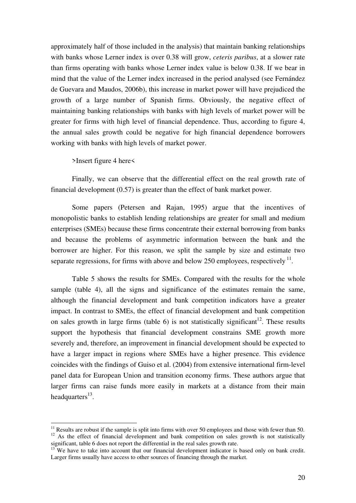approximately half of those included in the analysis) that maintain banking relationships with banks whose Lerner index is over 0.38 will grow, *ceteris paribus*, at a slower rate than firms operating with banks whose Lerner index value is below 0.38. If we bear in mind that the value of the Lerner index increased in the period analysed (see Fernández de Guevara and Maudos, 2006b), this increase in market power will have prejudiced the growth of a large number of Spanish firms. Obviously, the negative effect of maintaining banking relationships with banks with high levels of market power will be greater for firms with high level of financial dependence. Thus, according to figure 4, the annual sales growth could be negative for high financial dependence borrowers working with banks with high levels of market power.

>Insert figure 4 here<

1

Finally, we can observe that the differential effect on the real growth rate of financial development (0.57) is greater than the effect of bank market power.

 Some papers (Petersen and Rajan, 1995) argue that the incentives of monopolistic banks to establish lending relationships are greater for small and medium enterprises (SMEs) because these firms concentrate their external borrowing from banks and because the problems of asymmetric information between the bank and the borrower are higher. For this reason, we split the sample by size and estimate two separate regressions, for firms with above and below 250 employees, respectively  $11$ .

 Table 5 shows the results for SMEs. Compared with the results for the whole sample (table 4), all the signs and significance of the estimates remain the same, although the financial development and bank competition indicators have a greater impact. In contrast to SMEs, the effect of financial development and bank competition on sales growth in large firms (table 6) is not statistically significant<sup>12</sup>. These results support the hypothesis that financial development constrains SME growth more severely and, therefore, an improvement in financial development should be expected to have a larger impact in regions where SMEs have a higher presence. This evidence coincides with the findings of Guiso et al. (2004) from extensive international firm-level panel data for European Union and transition economy firms. These authors argue that larger firms can raise funds more easily in markets at a distance from their main headquarters<sup>13</sup>.

 $11$  Results are robust if the sample is split into firms with over 50 employees and those with fewer than 50. <sup>12</sup> As the effect of financial development and bank competition on sales growth is not statistically significant, table 6 does not report the differential in the real sales growth rate.

 $13$  We have to take into account that our financial development indicator is based only on bank credit. Larger firms usually have access to other sources of financing through the market.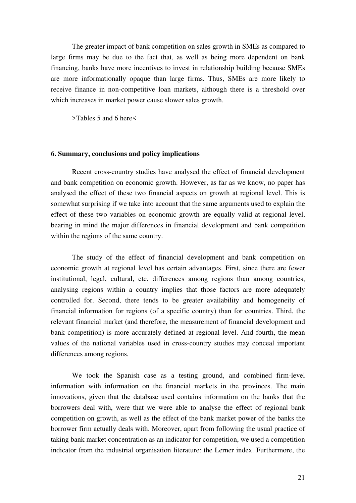The greater impact of bank competition on sales growth in SMEs as compared to large firms may be due to the fact that, as well as being more dependent on bank financing, banks have more incentives to invest in relationship building because SMEs are more informationally opaque than large firms. Thus, SMEs are more likely to receive finance in non-competitive loan markets, although there is a threshold over which increases in market power cause slower sales growth.

>Tables 5 and 6 here<

# **6. Summary, conclusions and policy implications**

Recent cross-country studies have analysed the effect of financial development and bank competition on economic growth. However, as far as we know, no paper has analysed the effect of these two financial aspects on growth at regional level. This is somewhat surprising if we take into account that the same arguments used to explain the effect of these two variables on economic growth are equally valid at regional level, bearing in mind the major differences in financial development and bank competition within the regions of the same country.

The study of the effect of financial development and bank competition on economic growth at regional level has certain advantages. First, since there are fewer institutional, legal, cultural, etc. differences among regions than among countries, analysing regions within a country implies that those factors are more adequately controlled for. Second, there tends to be greater availability and homogeneity of financial information for regions (of a specific country) than for countries. Third, the relevant financial market (and therefore, the measurement of financial development and bank competition) is more accurately defined at regional level. And fourth, the mean values of the national variables used in cross-country studies may conceal important differences among regions.

We took the Spanish case as a testing ground, and combined firm-level information with information on the financial markets in the provinces. The main innovations, given that the database used contains information on the banks that the borrowers deal with, were that we were able to analyse the effect of regional bank competition on growth, as well as the effect of the bank market power of the banks the borrower firm actually deals with. Moreover, apart from following the usual practice of taking bank market concentration as an indicator for competition, we used a competition indicator from the industrial organisation literature: the Lerner index. Furthermore, the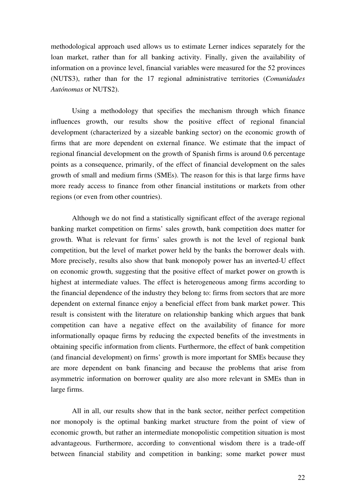methodological approach used allows us to estimate Lerner indices separately for the loan market, rather than for all banking activity. Finally, given the availability of information on a province level, financial variables were measured for the 52 provinces (NUTS3), rather than for the 17 regional administrative territories (*Comunidades Autónomas* or NUTS2).

Using a methodology that specifies the mechanism through which finance influences growth, our results show the positive effect of regional financial development (characterized by a sizeable banking sector) on the economic growth of firms that are more dependent on external finance. We estimate that the impact of regional financial development on the growth of Spanish firms is around 0.6 percentage points as a consequence, primarily, of the effect of financial development on the sales growth of small and medium firms (SMEs). The reason for this is that large firms have more ready access to finance from other financial institutions or markets from other regions (or even from other countries).

Although we do not find a statistically significant effect of the average regional banking market competition on firms' sales growth, bank competition does matter for growth. What is relevant for firms' sales growth is not the level of regional bank competition, but the level of market power held by the banks the borrower deals with. More precisely, results also show that bank monopoly power has an inverted-U effect on economic growth, suggesting that the positive effect of market power on growth is highest at intermediate values. The effect is heterogeneous among firms according to the financial dependence of the industry they belong to: firms from sectors that are more dependent on external finance enjoy a beneficial effect from bank market power. This result is consistent with the literature on relationship banking which argues that bank competition can have a negative effect on the availability of finance for more informationally opaque firms by reducing the expected benefits of the investments in obtaining specific information from clients. Furthermore, the effect of bank competition (and financial development) on firms' growth is more important for SMEs because they are more dependent on bank financing and because the problems that arise from asymmetric information on borrower quality are also more relevant in SMEs than in large firms.

All in all, our results show that in the bank sector, neither perfect competition nor monopoly is the optimal banking market structure from the point of view of economic growth, but rather an intermediate monopolistic competition situation is most advantageous. Furthermore, according to conventional wisdom there is a trade-off between financial stability and competition in banking; some market power must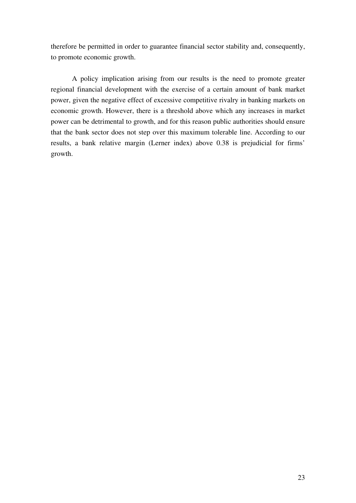therefore be permitted in order to guarantee financial sector stability and, consequently, to promote economic growth.

A policy implication arising from our results is the need to promote greater regional financial development with the exercise of a certain amount of bank market power, given the negative effect of excessive competitive rivalry in banking markets on economic growth. However, there is a threshold above which any increases in market power can be detrimental to growth, and for this reason public authorities should ensure that the bank sector does not step over this maximum tolerable line. According to our results, a bank relative margin (Lerner index) above 0.38 is prejudicial for firms' growth.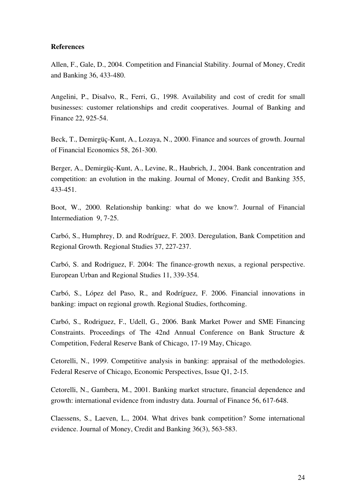# **References**

Allen, F., Gale, D., 2004. Competition and Financial Stability. Journal of Money, Credit and Banking 36, 433-480.

Angelini, P., Disalvo, R., Ferri, G., 1998. Availability and cost of credit for small businesses: customer relationships and credit cooperatives. Journal of Banking and Finance 22, 925-54.

Beck, T., Demirgüç-Kunt, A., Lozaya, N., 2000. Finance and sources of growth. Journal of Financial Economics 58, 261-300.

Berger, A., Demirgüç-Kunt, A., Levine, R., Haubrich, J., 2004. Bank concentration and competition: an evolution in the making. Journal of Money, Credit and Banking 355, 433-451.

Boot, W., 2000. Relationship banking: what do we know?. Journal of Financial Intermediation 9, 7-25.

Carbó, S., Humphrey, D. and Rodríguez, F. 2003. Deregulation, Bank Competition and Regional Growth. Regional Studies 37, 227-237.

Carbó, S. and Rodriguez, F. 2004: The finance-growth nexus, a regional perspective. European Urban and Regional Studies 11, 339-354.

Carbó, S., López del Paso, R., and Rodríguez, F. 2006. Financial innovations in banking: impact on regional growth. Regional Studies, forthcoming.

Carbó, S., Rodriguez, F., Udell, G., 2006. Bank Market Power and SME Financing Constraints. Proceedings of The 42nd Annual Conference on Bank Structure & Competition, Federal Reserve Bank of Chicago, 17-19 May, Chicago.

Cetorelli, N., 1999. Competitive analysis in banking: appraisal of the methodologies. Federal Reserve of Chicago, Economic Perspectives, Issue Q1, 2-15.

Cetorelli, N., Gambera, M., 2001. Banking market structure, financial dependence and growth: international evidence from industry data. Journal of Finance 56, 617-648.

Claessens, S., Laeven, L., 2004. What drives bank competition? Some international evidence. Journal of Money, Credit and Banking 36(3), 563-583.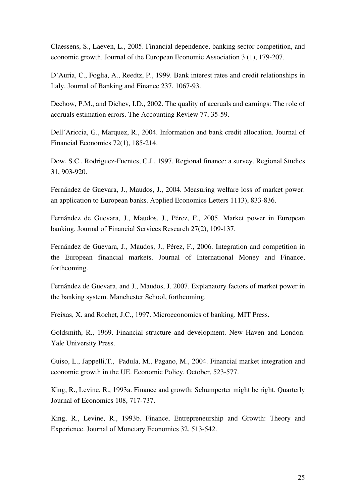Claessens, S., Laeven, L., 2005. Financial dependence, banking sector competition, and economic growth. Journal of the European Economic Association 3 (1), 179-207.

D'Auria, C., Foglia, A., Reedtz, P., 1999. Bank interest rates and credit relationships in Italy. Journal of Banking and Finance 237, 1067-93.

Dechow, P.M., and Dichev, I.D., 2002. The quality of accruals and earnings: The role of accruals estimation errors. The Accounting Review 77, 35-59.

Dell´Ariccia, G., Marquez, R., 2004. Information and bank credit allocation. Journal of Financial Economics 72(1), 185-214.

Dow, S.C., Rodriguez-Fuentes, C.J., 1997. Regional finance: a survey. Regional Studies 31, 903-920.

Fernández de Guevara, J., Maudos, J., 2004. Measuring welfare loss of market power: an application to European banks. Applied Economics Letters 1113), 833-836.

Fernández de Guevara, J., Maudos, J., Pérez, F., 2005. Market power in European banking. Journal of Financial Services Research 27(2), 109-137.

Fernández de Guevara, J., Maudos, J., Pérez, F., 2006. Integration and competition in the European financial markets. Journal of International Money and Finance, forthcoming.

Fernández de Guevara, and J., Maudos, J. 2007. Explanatory factors of market power in the banking system. Manchester School, forthcoming.

Freixas, X. and Rochet, J.C., 1997. Microeconomics of banking. MIT Press.

Goldsmith, R., 1969. Financial structure and development. New Haven and London: Yale University Press.

Guiso, L., Jappelli,T., Padula, M., Pagano, M., 2004. Financial market integration and economic growth in the UE. Economic Policy, October, 523-577.

King, R., Levine, R., 1993a. Finance and growth: Schumperter might be right. Quarterly Journal of Economics 108, 717-737.

King, R., Levine, R., 1993b. Finance, Entrepreneurship and Growth: Theory and Experience. Journal of Monetary Economics 32, 513-542.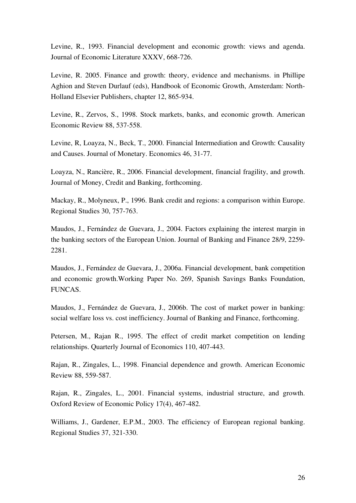Levine, R., 1993. Financial development and economic growth: views and agenda. Journal of Economic Literature XXXV, 668-726.

Levine, R. 2005. Finance and growth: theory, evidence and mechanisms. in Phillipe Aghion and Steven Durlauf (eds), Handbook of Economic Growth, Amsterdam: North-Holland Elsevier Publishers, chapter 12, 865-934.

Levine, R., Zervos, S., 1998. Stock markets, banks, and economic growth. American Economic Review 88, 537-558.

Levine, R, Loayza, N., Beck, T., 2000. Financial Intermediation and Growth: Causality and Causes. Journal of Monetary. Economics 46, 31-77.

Loayza, N., Rancière, R., 2006. Financial development, financial fragility, and growth. Journal of Money, Credit and Banking, forthcoming.

Mackay, R., Molyneux, P., 1996. Bank credit and regions: a comparison within Europe. Regional Studies 30, 757-763.

Maudos, J., Fernández de Guevara, J., 2004. Factors explaining the interest margin in the banking sectors of the European Union. Journal of Banking and Finance 28/9, 2259- 2281.

Maudos, J., Fernández de Guevara, J., 2006a. Financial development, bank competition and economic growth.Working Paper No. 269, Spanish Savings Banks Foundation, FUNCAS.

Maudos, J., Fernández de Guevara, J., 2006b. The cost of market power in banking: social welfare loss vs. cost inefficiency. Journal of Banking and Finance, forthcoming.

Petersen, M., Rajan R., 1995. The effect of credit market competition on lending relationships. Quarterly Journal of Economics 110, 407-443.

Rajan, R., Zingales, L., 1998. Financial dependence and growth. American Economic Review 88, 559-587.

Rajan, R., Zingales, L., 2001. Financial systems, industrial structure, and growth. Oxford Review of Economic Policy 17(4), 467-482.

Williams, J., Gardener, E.P.M., 2003. The efficiency of European regional banking. Regional Studies 37, 321-330.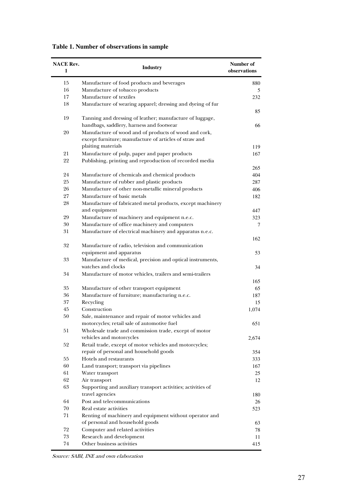| <b>NACE Rev.</b><br>1 | Industry                                                                                                        | Number of<br>observations |
|-----------------------|-----------------------------------------------------------------------------------------------------------------|---------------------------|
| 15                    | Manufacture of food products and beverages                                                                      | 880                       |
| 16                    | Manufacture of tobacco products                                                                                 | 5                         |
| 17                    | Manufacture of textiles                                                                                         | 232                       |
| 18                    | Manufacture of wearing apparel; dressing and dyeing of fur                                                      |                           |
| 19                    | Tanning and dressing of leather; manufacture of luggage,                                                        | 85                        |
|                       | handbags, saddlery, harness and footwear                                                                        | 66                        |
| 20                    | Manufacture of wood and of products of wood and cork,<br>except furniture; manufacture of articles of straw and |                           |
|                       | plaiting materials                                                                                              |                           |
| 21                    |                                                                                                                 | 119                       |
|                       | Manufacture of pulp, paper and paper products                                                                   | 167                       |
| 22                    | Publishing, printing and reproduction of recorded media                                                         | 265                       |
| 24                    | Manufacture of chemicals and chemical products                                                                  | 404                       |
| 25                    | Manufacture of rubber and plastic products                                                                      | 287                       |
| 26                    | Manufacture of other non-metallic mineral products                                                              | 406                       |
| 27                    | Manufacture of basic metals                                                                                     | 182                       |
| 28                    | Manufacture of fabricated metal products, except machinery                                                      |                           |
|                       | and equipment                                                                                                   | 447                       |
| 29                    | Manufacture of machinery and equipment n.e.c.                                                                   | 323                       |
| 30                    | Manufacture of office machinery and computers                                                                   | 7                         |
| 31                    | Manufacture of electrical machinery and apparatus n.e.c.                                                        |                           |
| 32                    | Manufacture of radio, television and communication                                                              | 162                       |
|                       | equipment and apparatus                                                                                         | 53                        |
| 33                    | Manufacture of medical, precision and optical instruments,                                                      |                           |
|                       | watches and clocks                                                                                              | 34                        |
| 34                    | Manufacture of motor vehicles, trailers and semi-trailers                                                       | 165                       |
| 35                    | Manufacture of other transport equipment                                                                        | 65                        |
| 36                    | Manufacture of furniture; manufacturing n.e.c.                                                                  | 187                       |
| 37                    | Recycling                                                                                                       | 15                        |
| 45                    | Construction                                                                                                    | 1,074                     |
| 50                    | Sale, maintenance and repair of motor vehicles and                                                              |                           |
|                       | motorcycles; retail sale of automotive fuel                                                                     | 651                       |
| 51                    | Wholesale trade and commission trade, except of motor                                                           |                           |
|                       | vehicles and motorcycles                                                                                        | 2,674                     |
| 52                    | Retail trade, except of motor vehicles and motorcycles;                                                         |                           |
|                       | repair of personal and household goods                                                                          | 354                       |
| 55                    | Hotels and restaurants                                                                                          | 333                       |
| 60                    | Land transport; transport via pipelines                                                                         | 167                       |
| 61                    | Water transport                                                                                                 | 25                        |
| 62                    | Air transport                                                                                                   | 12                        |
| 63                    | Supporting and auxiliary transport activities; activities of<br>travel agencies                                 | 180                       |
| 64                    | Post and telecommunications                                                                                     | 26                        |
| $70\,$                | Real estate activities                                                                                          | 523                       |
| 71                    | Renting of machinery and equipment without operator and                                                         |                           |
|                       | of personal and household goods                                                                                 | 63                        |
| 72                    | Computer and related activities                                                                                 | 78                        |
| 73                    | Research and development                                                                                        | 11                        |
| 74                    | Other business activities                                                                                       | 415                       |

**Table 1. Number of observations in sample**

Source: SABI, INE and own elaboration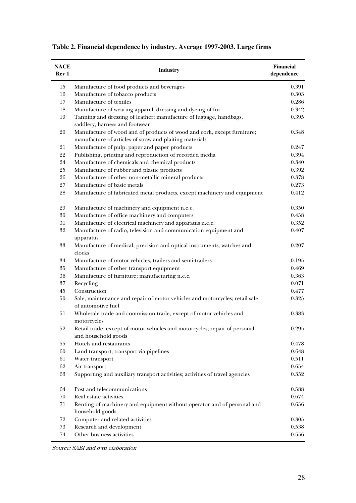| <b>NACE</b><br>Rev <sub>1</sub> | <b>Industry</b>                                                                                                                    | Financial<br>dependence |
|---------------------------------|------------------------------------------------------------------------------------------------------------------------------------|-------------------------|
| 15                              | Manufacture of food products and beverages                                                                                         | 0.391                   |
| 16                              | Manufacture of tobacco products                                                                                                    | 0.303                   |
| 17                              | Manufacture of textiles                                                                                                            | 0.286                   |
| 18                              | Manufacture of wearing apparel; dressing and dyeing of fur                                                                         | 0.342                   |
| 19                              | Tanning and dressing of leather; manufacture of luggage, handbags,<br>saddlery, harness and footwear                               | 0.395                   |
| 20                              | Manufacture of wood and of products of wood and cork, except furniture;<br>manufacture of articles of straw and plaiting materials | 0.348                   |
| 21                              | Manufacture of pulp, paper and paper products                                                                                      | 0.247                   |
| 22                              | Publishing, printing and reproduction of recorded media                                                                            | 0.394                   |
| 24                              | Manufacture of chemicals and chemical products                                                                                     | 0.340                   |
| 25                              | Manufacture of rubber and plastic products                                                                                         | 0.392                   |
| 26                              | Manufacture of other non-metallic mineral products                                                                                 | 0.378                   |
| $27\,$                          | Manufacture of basic metals                                                                                                        | 0.273                   |
| $\sqrt{28}$                     | Manufacture of fabricated metal products, except machinery and equipment                                                           | 0.412                   |
| 29                              | Manufacture of machinery and equipment n.e.c.                                                                                      | 0.350                   |
| 30                              | Manufacture of office machinery and computers                                                                                      | 0.458                   |
| 31                              | Manufacture of electrical machinery and apparatus n.e.c.                                                                           | 0.352                   |
| 32                              | Manufacture of radio, television and communication equipment and<br>apparatus                                                      | 0.407                   |
| 33                              | Manufacture of medical, precision and optical instruments, watches and<br>clocks                                                   | 0.207                   |
| 34                              | Manufacture of motor vehicles, trailers and semi-trailers                                                                          | 0.195                   |
| 35                              | Manufacture of other transport equipment                                                                                           | 0.469                   |
| 36                              | Manufacture of furniture; manufacturing n.e.c.                                                                                     | 0.363                   |
| $37\,$                          | Recycling                                                                                                                          | 0.071                   |
| 45                              | Construction                                                                                                                       | 0.477                   |
| 50                              | Sale, maintenance and repair of motor vehicles and motorcycles; retail sale<br>of automotive fuel                                  | 0.325                   |
| 51                              | Wholesale trade and commission trade, except of motor vehicles and<br>motorcycles                                                  | 0.383                   |
| 52                              | Retail trade, except of motor vehicles and motorcycles; repair of personal<br>and household goods                                  | 0.295                   |
| 55                              | Hotels and restaurants                                                                                                             | 0.478                   |
| 60                              | Land transport; transport via pipelines                                                                                            | 0.648                   |
| 61                              | Water transport                                                                                                                    | 0.511                   |
| 62                              | Air transport                                                                                                                      | 0.654                   |
| 63                              | Supporting and auxiliary transport activities; activities of travel agencies                                                       | 0.352                   |
| 64                              | Post and telecommunications                                                                                                        | 0.588                   |
| 70                              | Real estate activities                                                                                                             | 0.674                   |
| 71                              | Renting of machinery and equipment without operator and of personal and<br>household goods                                         | 0.656                   |
| $72\,$                          | Computer and related activities                                                                                                    | 0.305                   |
| 73                              | Research and development                                                                                                           | 0.538                   |
| $74\,$                          | Other business activities                                                                                                          | 0.556                   |

|  |  |  | Table 2. Financial dependence by industry. Average 1997-2003. Large firms |
|--|--|--|---------------------------------------------------------------------------|
|  |  |  |                                                                           |

J.

Source: SABI and own elaboration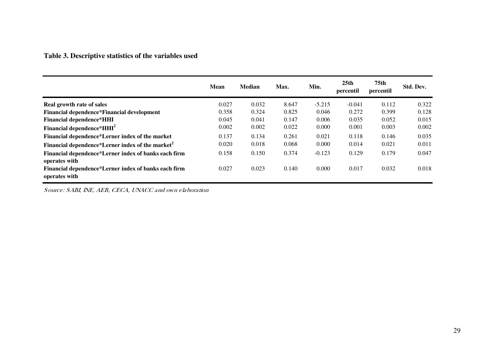# **Table 3. Descriptive statistics of the variables used**

|                                                                       | <b>Mean</b> | <b>Median</b> | Max.  | Min.     | 25 <sub>th</sub><br>percentil | 75th<br>percentil | Std. Dev. |
|-----------------------------------------------------------------------|-------------|---------------|-------|----------|-------------------------------|-------------------|-----------|
| Real growth rate of sales                                             | 0.027       | 0.032         | 8.647 | $-5.215$ | $-0.041$                      | 0.112             | 0.322     |
| Financial dependence*Financial development                            | 0.358       | 0.324         | 0.825 | 0.046    | 0.272                         | 0.399             | 0.128     |
| <b>Financial dependence*HHI</b>                                       | 0.045       | 0.041         | 0.147 | 0.006    | 0.035                         | 0.052             | 0.015     |
| Financial dependence*HHI <sup>2</sup>                                 | 0.002       | 0.002         | 0.022 | 0.000    | 0.001                         | 0.003             | 0.002     |
| Financial dependence*Lerner index of the market                       | 0.137       | 0.134         | 0.261 | 0.021    | 0.118                         | 0.146             | 0.035     |
| Financial dependence*Lerner index of the market <sup>2</sup>          | 0.020       | 0.018         | 0.068 | 0.000    | 0.014                         | 0.021             | 0.011     |
| Financial dependence*Lerner index of banks each firm<br>operates with | 0.158       | 0.150         | 0.374 | $-0.123$ | 0.129                         | 0.179             | 0.047     |
| Financial dependence*Lerner index of banks each firm<br>operates with | 0.027       | 0.023         | 0.140 | 0.000    | 0.017                         | 0.032             | 0.018     |

Source: SABI, INE, AEB, CECA, UNACC and own elaboration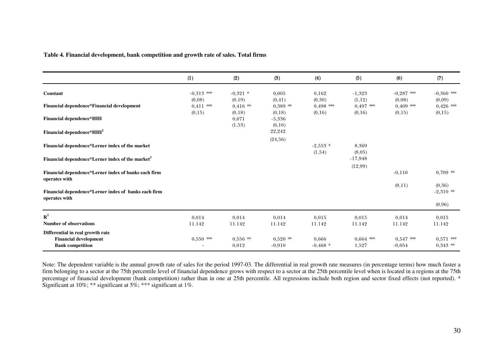|                                                                       | (1)                    | (2)                  | (3)                  | (4)                  | (5)                  | (6)                   | (7)                   |
|-----------------------------------------------------------------------|------------------------|----------------------|----------------------|----------------------|----------------------|-----------------------|-----------------------|
| Constant                                                              | $-0.313$ ***<br>(0,08) | $-0,321$ *<br>(0,19) | 0,005<br>(0, 41)     | 0,162<br>(0,30)      | $-1,323$<br>(1,12)   | $-0,287$ **<br>(0,08) | $-0,360$ **<br>(0,09) |
| Financial dependence*Financial development                            | $0.411$ **<br>(0,15)   | $0.416$ **<br>(0,18) | $0.389$ **<br>(0,18) | $0.498$ **<br>(0,16) | $0.497$ **<br>(0,16) | $0.409$ **<br>(0,15)  | $0,426$ ***<br>(0,15) |
| <b>Financial dependence*HHI</b>                                       |                        | 0,071<br>(1,53)      | $-5,336$<br>(6,16)   |                      |                      |                       |                       |
| Financial dependence*HHI <sup>2</sup>                                 |                        |                      | 22,242<br>(24, 56)   |                      |                      |                       |                       |
| Financial dependence*Lerner index of the market                       |                        |                      |                      | $-2,553$ *<br>(1,54) | 8,369<br>(8,05)      |                       |                       |
| Financial dependence*Lerner index of the market <sup>2</sup>          |                        |                      |                      |                      | $-17,948$            |                       |                       |
| Financial dependence*Lerner index of banks each firm<br>operates with |                        |                      |                      |                      | (12,99)              | $-0,110$              | $0,709$ **            |
| Financial dependence*Lerner index of banks each firm<br>operates with |                        |                      |                      |                      |                      | (0,11)                | (0,36)<br>$-2,310$ ** |
|                                                                       |                        |                      |                      |                      |                      |                       | (0,96)                |
| ${\bf R}^2$<br><b>Number of observations</b>                          | 0,014<br>11.142        | 0,014<br>11.142      | 0,014<br>11.142      | 0,015<br>11.142      | 0.015<br>11.142      | 0,014<br>11.142       | 0,015<br>11.142       |
| Differential in real growth rate<br><b>Financial development</b>      | $0,550$ **             | $0.556$ **           | $0,520$ **           | 0,666                | $0.664$ **           | $0,547$ **            | $0.571$ **            |
| <b>Bank competition</b>                                               |                        | 0,012                | $-0,910$             | $-0.468*$            | 1,527                | $-0.054$              | $0,343$ **            |

**Table 4. Financial development, bank competition and growth rate of sales. Total firms**

Note: The dependent variable is the annual growth rate of sales for the period 1997-03. The differential in real growth rate measures (in percentage terms) how much faster a firm belonging to a sector at the 75th percentile level of financial dependence grows with respect to a sector at the 25th percentile level when is located in a regions at the 75th percentage of financial development (bank competition) rather than in one at 25th percentile. All regressions include both region and sector fixed effects (not reported). \* Significant at 10%; \*\* significant at  $5\%$ ; \*\*\* significant at 1%.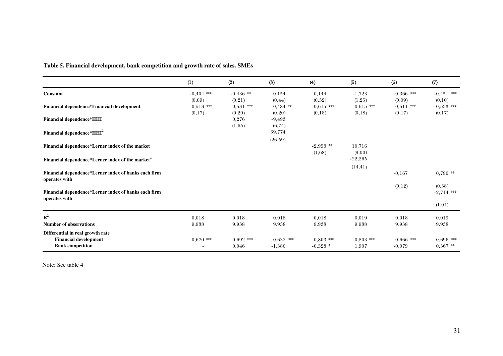|                                                                                             | (1)                   | (2)                   | (3)                     | (4)                     | (5)                   | (6)                     | (7)                       |
|---------------------------------------------------------------------------------------------|-----------------------|-----------------------|-------------------------|-------------------------|-----------------------|-------------------------|---------------------------|
| <b>Constant</b>                                                                             | $-0.404$ **<br>(0,09) | $-0.436$ **<br>(0,21) | 0,154<br>(0, 44)        | 0.144<br>(0,32)         | $-1,723$<br>(1,25)    | $-0.366$ **<br>(0,09)   | $-0.451$ **<br>(0,10)     |
| Financial dependence*Financial development                                                  | $0,513$ **<br>(0,17)  | $0,531$ **<br>(0,20)  | $0,484$ **<br>(0,20)    | $0.615$ **<br>(0,18)    | $0,615$ **<br>(0,18)  | $0,511$ **<br>(0,17)    | $0,533$ **<br>(0,17)      |
| <b>Financial dependence*HHI</b>                                                             |                       | 0,276<br>(1,65)       | $-9,493$<br>(6, 74)     |                         |                       |                         |                           |
| Financial dependence*HHI <sup>2</sup>                                                       |                       |                       | 39,774<br>(26,59)       |                         |                       |                         |                           |
| Financial dependence*Lerner index of the market                                             |                       |                       |                         | $-2,953$ **<br>(1,68)   | 10.716<br>(9,00)      |                         |                           |
| Financial dependence*Lerner index of the market <sup>2</sup>                                |                       |                       |                         |                         | $-22,265$<br>(14, 41) |                         |                           |
| Financial dependence*Lerner index of banks each firm<br>operates with                       |                       |                       |                         |                         |                       | $-0.167$                | $0,790$ **                |
| Financial dependence*Lerner index of banks each firm<br>operates with                       |                       |                       |                         |                         |                       | (0,12)                  | (0, 38)<br>$-2,714$ **    |
|                                                                                             |                       |                       |                         |                         |                       |                         | (1,04)                    |
| ${\bf R}^2$<br><b>Number of observations</b>                                                | 0,018<br>9.938        | 0,018<br>9.938        | 0,018<br>9.938          | 0,018<br>9.938          | 0,019<br>9.938        | 0,018<br>9.938          | 0,019<br>9.938            |
| Differential in real growth rate<br><b>Financial development</b><br><b>Bank</b> competition | $0.670$ ***           | $0.692$ ***<br>0,046  | $0.632$ ***<br>$-1,580$ | $0.803$ **<br>$-0.528*$ | $0.803$ ***<br>1,907  | $0.666$ ***<br>$-0.079$ | $0.696$ ***<br>$0,367$ ** |

**Table 5. Financial development, bank competition and growth rate of sales. SMEs**

Note: See table 4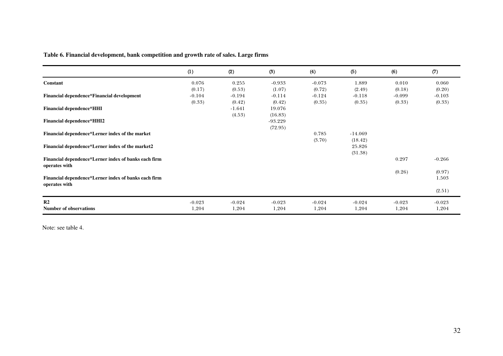**Table 6. Financial development, bank competition and growth rate of sales. Large firms**

|                                                                       | (1)      | (2)      | (3)       | (4)      | (5)       | (6)      | (7)      |
|-----------------------------------------------------------------------|----------|----------|-----------|----------|-----------|----------|----------|
| Constant                                                              | 0.076    | 0.255    | $-0.933$  | $-0.073$ | 1.889     | 0.010    | 0.060    |
|                                                                       | (0.17)   | (0.53)   | (1.07)    | (0.72)   | (2.49)    | (0.18)   | (0.20)   |
| Financial dependence*Financial development                            | $-0.104$ | $-0.194$ | $-0.114$  | $-0.124$ | $-0.118$  | $-0.099$ | $-0.103$ |
|                                                                       | (0.33)   | (0.42)   | (0.42)    | (0.35)   | (0.35)    | (0.33)   | (0.33)   |
| <b>Financial dependence*HHI</b>                                       |          | $-1.641$ | 19.076    |          |           |          |          |
|                                                                       |          | (4.53)   | (16.83)   |          |           |          |          |
| <b>Financial dependence*HHI2</b>                                      |          |          | $-93.229$ |          |           |          |          |
|                                                                       |          |          |           |          |           |          |          |
|                                                                       |          |          | (72.95)   |          |           |          |          |
| Financial dependence*Lerner index of the market                       |          |          |           | 0.785    | $-14.069$ |          |          |
|                                                                       |          |          |           | (3.70)   | (18.42)   |          |          |
| Financial dependence*Lerner index of the market2                      |          |          |           |          | 25.826    |          |          |
|                                                                       |          |          |           |          | (31.38)   |          |          |
| Financial dependence*Lerner index of banks each firm                  |          |          |           |          |           | 0.297    | $-0.266$ |
| operates with                                                         |          |          |           |          |           |          |          |
|                                                                       |          |          |           |          |           | (0.26)   | (0.97)   |
| Financial dependence*Lerner index of banks each firm<br>operates with |          |          |           |          |           |          | 1.503    |
|                                                                       |          |          |           |          |           |          | (2.51)   |
| R <sub>2</sub>                                                        | $-0.023$ | $-0.024$ | $-0.023$  | $-0.024$ | $-0.024$  | $-0.023$ | $-0.023$ |
| <b>Number of observations</b>                                         | 1,204    | 1,204    | 1,204     | 1,204    | 1,204     | 1,204    | 1,204    |

Note: see table 4.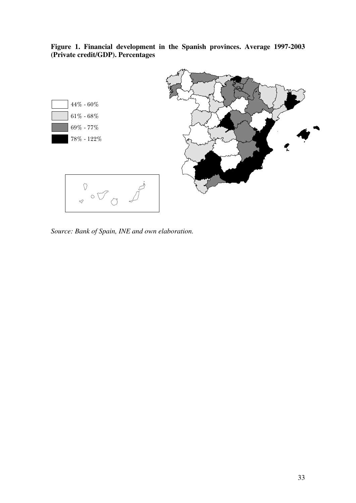

**Figure 1. Financial development in the Spanish provinces. Average 1997-2003 (Private credit/GDP). Percentages** 

*Source: Bank of Spain, INE and own elaboration.*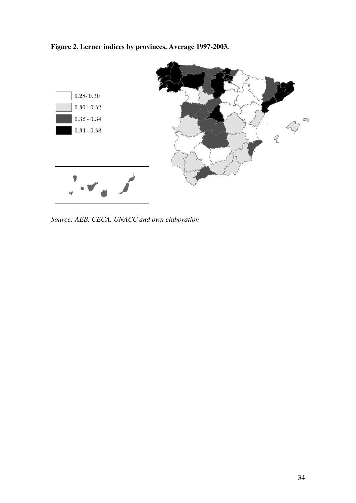**Figure 2. Lerner indices by provinces. Average 1997-2003.** 



*Source: AEB, CECA, UNACC and own elaboration*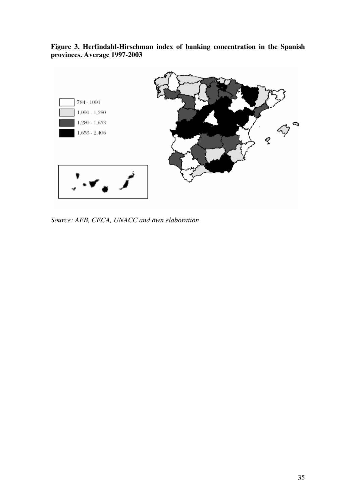**Figure 3. Herfindahl-Hirschman index of banking concentration in the Spanish provinces. Average 1997-2003** 



*Source: AEB, CECA, UNACC and own elaboration*